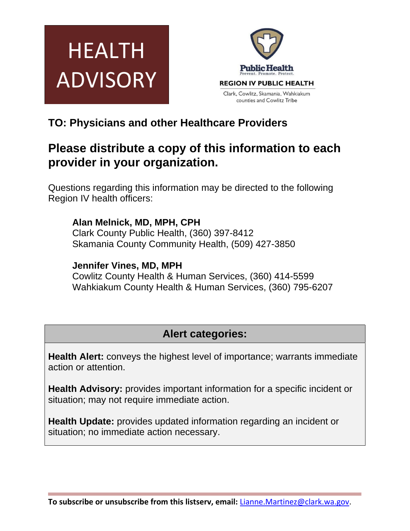



# **TO: Physicians and other Healthcare Providers**

# **Please distribute a copy of this information to each provider in your organization.**

Questions regarding this information may be directed to the following Region IV health officers:

### **Alan Melnick, MD, MPH, CPH**

Clark County Public Health, (360) 397-8412 Skamania County Community Health, (509) 427-3850

### **Jennifer Vines, MD, MPH**

Cowlitz County Health & Human Services, (360) 414-5599 Wahkiakum County Health & Human Services, (360) 795-6207

## **Alert categories:**

**Health Alert:** conveys the highest level of importance; warrants immediate action or attention.

**Health Advisory:** provides important information for a specific incident or situation; may not require immediate action.

**Health Update:** provides updated information regarding an incident or situation; no immediate action necessary.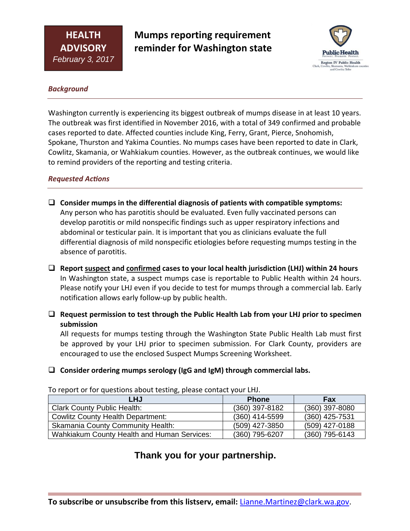**Mumps reporting requirement reminder for Washington state**



#### *Background*

Washington currently is experiencing its biggest outbreak of mumps disease in at least 10 years. The outbreak was first identified in November 2016, with a total of 349 confirmed and probable cases reported to date. Affected counties include King, Ferry, Grant, Pierce, Snohomish, Spokane, Thurston and Yakima Counties. No mumps cases have been reported to date in Clark, Cowlitz, Skamania, or Wahkiakum counties. However, as the outbreak continues, we would like to remind providers of the reporting and testing criteria.

#### *Requested AcƟons*

- **Consider mumps in the differential diagnosis of patients with compatible symptoms:**  Any person who has parotitis should be evaluated. Even fully vaccinated persons can develop parotitis or mild nonspecific findings such as upper respiratory infections and abdominal or testicular pain. It is important that you as clinicians evaluate the full differential diagnosis of mild nonspecific etiologies before requesting mumps testing in the absence of parotitis.
- **Report suspect and confirmed cases to your local health jurisdiction (LHJ) within 24 hours** In Washington state, a suspect mumps case is reportable to Public Health within 24 hours. Please notify your LHJ even if you decide to test for mumps through a commercial lab. Early notification allows early follow‐up by public health.
- **Request permission to test through the Public Health Lab from your LHJ prior to specimen submission**

All requests for mumps testing through the Washington State Public Health Lab must first be approved by your LHJ prior to specimen submission. For Clark County, providers are encouraged to use the enclosed Suspect Mumps Screening Worksheet.

### **Consider ordering mumps serology (IgG and IgM) through commercial labs.**

| <b>LHJ</b>                                  | <b>Phone</b>   | Fax              |
|---------------------------------------------|----------------|------------------|
| <b>Clark County Public Health:</b>          | (360) 397-8182 | $(360)$ 397-8080 |
| <b>Cowlitz County Health Department:</b>    | (360) 414-5599 | $(360)$ 425-7531 |
| <b>Skamania County Community Health:</b>    | (509) 427-3850 | (509) 427-0188   |
| Wahkiakum County Health and Human Services: | (360) 795-6207 | $(360)$ 795-6143 |

To report or for questions about testing, please contact your LHJ.

## **Thank you for your partnership.**